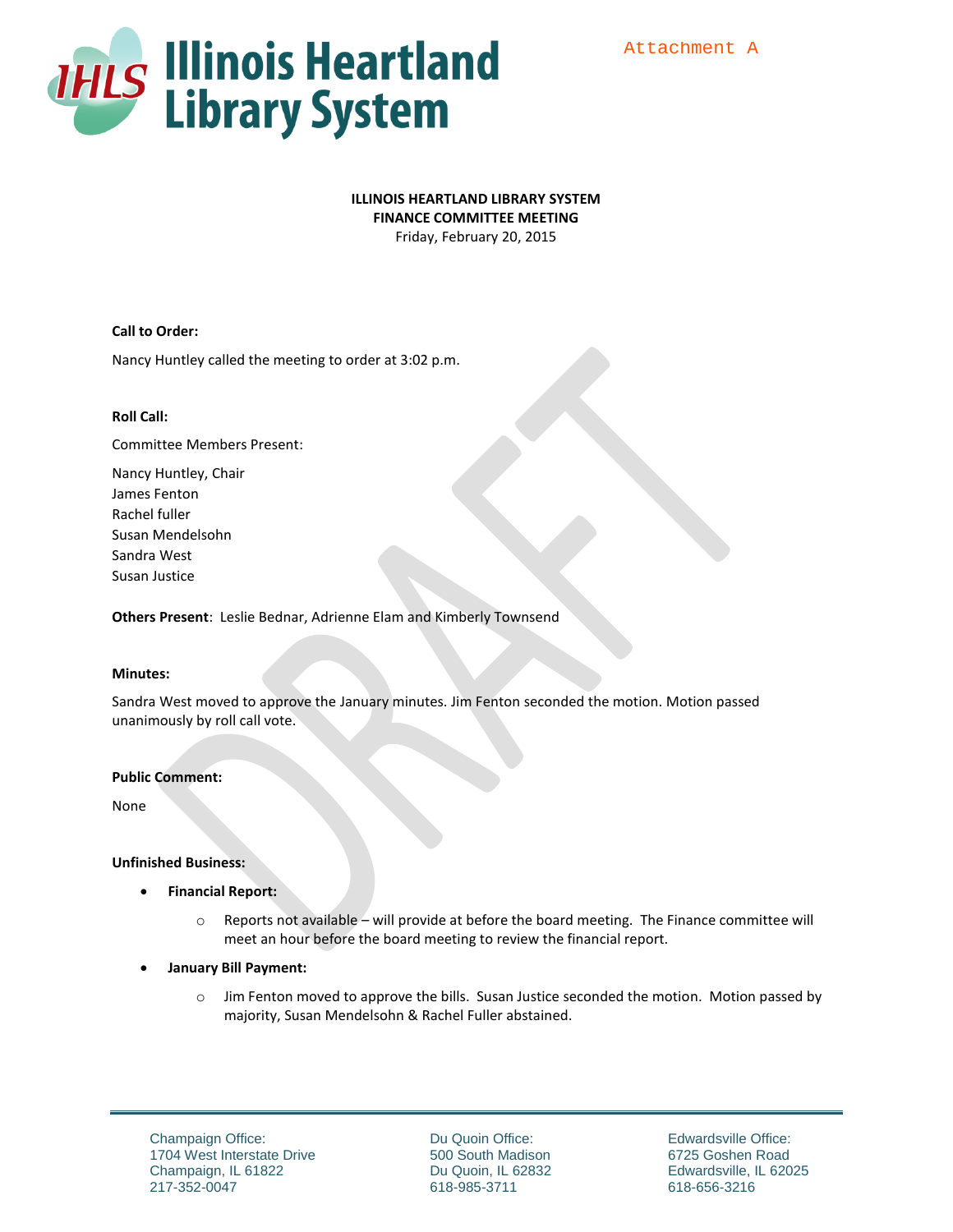

# **ILLINOIS HEARTLAND LIBRARY SYSTEM**

**FINANCE COMMITTEE MEETING**

Friday, February 20, 2015

# **Call to Order:**

Nancy Huntley called the meeting to order at 3:02 p.m.

# **Roll Call:**

Committee Members Present:

Nancy Huntley, Chair James Fenton Rachel fuller Susan Mendelsohn Sandra West Susan Justice

**Others Present**: Leslie Bednar, Adrienne Elam and Kimberly Townsend

#### **Minutes:**

Sandra West moved to approve the January minutes. Jim Fenton seconded the motion. Motion passed unanimously by roll call vote.

# **Public Comment:**

None

#### **Unfinished Business:**

- **Financial Report:** 
	- o Reports not available will provide at before the board meeting. The Finance committee will meet an hour before the board meeting to review the financial report.
- **January Bill Payment:** 
	- o Jim Fenton moved to approve the bills. Susan Justice seconded the motion. Motion passed by majority, Susan Mendelsohn & Rachel Fuller abstained.

Du Quoin Office: 500 South Madison Du Quoin, IL 62832 618-985-3711

Edwardsville Office: 6725 Goshen Road Edwardsville, IL 62025 618-656-3216